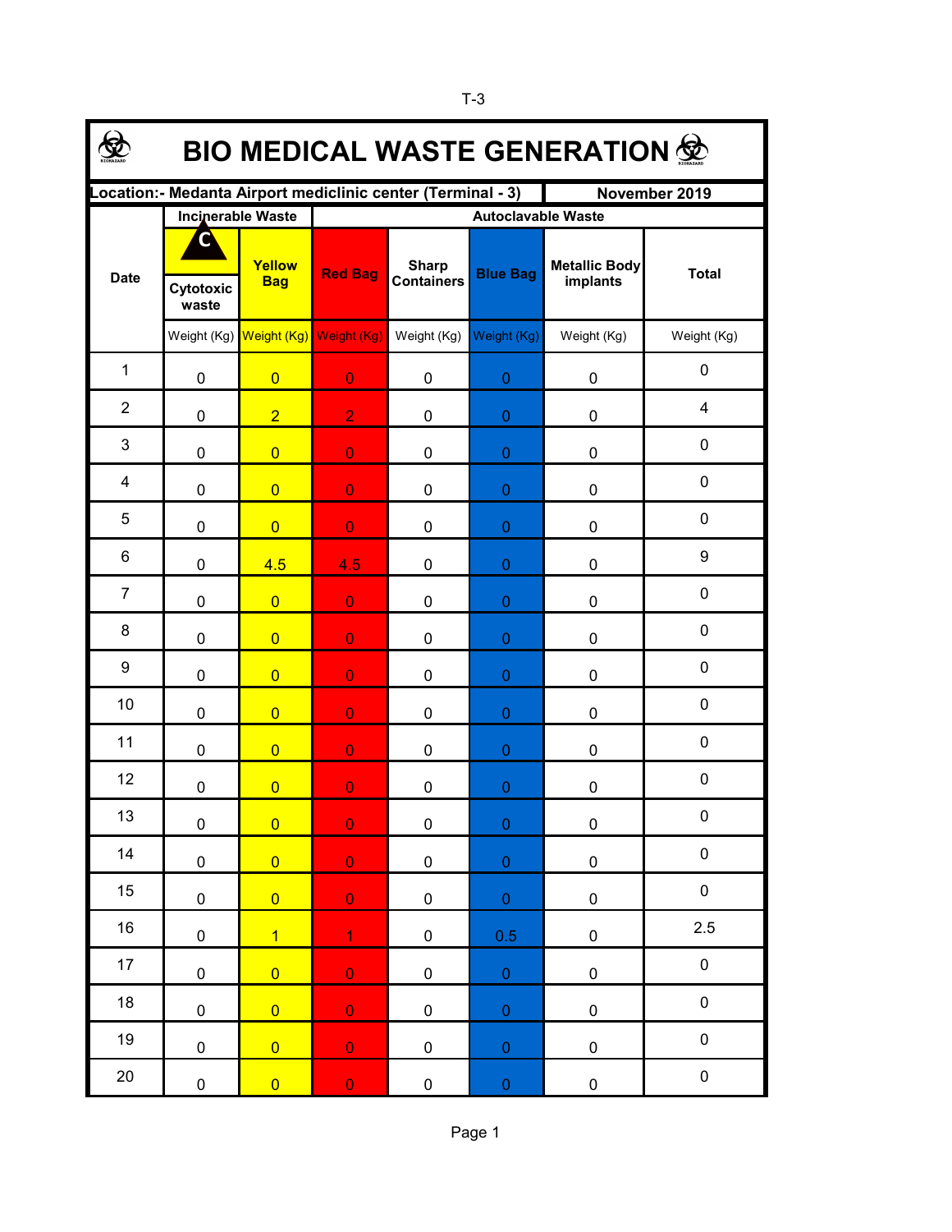| <b>BIO MEDICAL WASTE GENERATION 佥</b>                                         |                         |                          |                           |                                   |                  |                                  |              |  |  |  |  |
|-------------------------------------------------------------------------------|-------------------------|--------------------------|---------------------------|-----------------------------------|------------------|----------------------------------|--------------|--|--|--|--|
| Location: - Medanta Airport mediclinic center (Terminal - 3)<br>November 2019 |                         |                          |                           |                                   |                  |                                  |              |  |  |  |  |
| <b>Date</b>                                                                   |                         | <b>Incinerable Waste</b> | <b>Autoclavable Waste</b> |                                   |                  |                                  |              |  |  |  |  |
|                                                                               | C<br>Cytotoxic<br>waste | Yellow<br><b>Bag</b>     | <b>Red Bag</b>            | <b>Sharp</b><br><b>Containers</b> | <b>Blue Bag</b>  | <b>Metallic Body</b><br>implants | <b>Total</b> |  |  |  |  |
|                                                                               |                         | Weight (Kg) Weight (Kg)  | Weight (Kg)               | Weight (Kg)                       | Weight (Kg)      | Weight (Kg)                      | Weight (Kg)  |  |  |  |  |
| $\mathbf{1}$                                                                  | 0                       | $\overline{0}$           | $\overline{0}$            | 0                                 | $\overline{0}$   | 0                                | 0            |  |  |  |  |
| $\overline{2}$                                                                | $\mathbf 0$             | $\overline{2}$           | $\overline{2}$            | 0                                 | $\overline{0}$   | 0                                | 4            |  |  |  |  |
| 3                                                                             | $\mathbf 0$             | $\overline{0}$           | $\overline{0}$            | 0                                 | $\overline{0}$   | 0                                | 0            |  |  |  |  |
| 4                                                                             | $\mathbf 0$             | $\overline{0}$           | $\overline{0}$            | 0                                 | 0                | 0                                | 0            |  |  |  |  |
| 5                                                                             | $\mathbf 0$             | $\overline{0}$           | $\overline{0}$            | 0                                 | 0                | 0                                | $\mathbf 0$  |  |  |  |  |
| 6                                                                             | 0                       | 4.5                      | 4.5                       | 0                                 | 0                | 0                                | 9            |  |  |  |  |
| $\overline{7}$                                                                | 0                       | $\overline{0}$           | $\overline{0}$            | 0                                 | 0                | 0                                | $\mathbf 0$  |  |  |  |  |
| 8                                                                             | $\mathbf 0$             | $\overline{0}$           | $\overline{0}$            | 0                                 | 0                | 0                                | $\mathbf 0$  |  |  |  |  |
| 9                                                                             | $\mathbf 0$             | $\overline{0}$           | $\overline{0}$            | 0                                 | 0                | 0                                | 0            |  |  |  |  |
| 10                                                                            | 0                       | $\overline{0}$           | $\overline{0}$            | 0                                 | 0                | 0                                | 0            |  |  |  |  |
| 11                                                                            | 0                       | $\overline{0}$           | $\overline{0}$            | 0                                 | 0                | 0                                | 0            |  |  |  |  |
| 12                                                                            | 0                       | $\overline{0}$           | $\overline{0}$            | 0                                 | $\boldsymbol{0}$ | 0                                | 0            |  |  |  |  |
| 13                                                                            | 0                       | $\overline{0}$           | $\mathbf{0}$              | 0                                 | 0                | 0                                | $\mathbf 0$  |  |  |  |  |
| 14                                                                            | $\pmb{0}$               | $\overline{0}$           | $\mathbf 0$               | $\pmb{0}$                         | $\pmb{0}$        | $\pmb{0}$                        | $\pmb{0}$    |  |  |  |  |
| $15\,$                                                                        | $\pmb{0}$               | $\overline{0}$           | $\overline{0}$            | $\pmb{0}$                         | $\pmb{0}$        | $\pmb{0}$                        | $\pmb{0}$    |  |  |  |  |
| 16                                                                            | $\pmb{0}$               | $\overline{1}$           | $\mathbf{1}$              | $\pmb{0}$                         | 0.5              | $\pmb{0}$                        | 2.5          |  |  |  |  |
| $17\,$                                                                        | $\pmb{0}$               | $\overline{0}$           | $\overline{0}$            | $\pmb{0}$                         | $\pmb{0}$        | $\pmb{0}$                        | $\pmb{0}$    |  |  |  |  |
| 18                                                                            | $\pmb{0}$               | $\overline{0}$           | $\overline{0}$            | 0                                 | $\pmb{0}$        | $\pmb{0}$                        | $\pmb{0}$    |  |  |  |  |
| 19                                                                            | $\pmb{0}$               | $\overline{0}$           | $\mathbf 0$               | 0                                 | $\pmb{0}$        | $\pmb{0}$                        | $\pmb{0}$    |  |  |  |  |
| 20                                                                            | $\pmb{0}$               | $\overline{0}$           | $\mathbf 0$               | $\pmb{0}$                         | $\mathbf 0$      | $\pmb{0}$                        | $\pmb{0}$    |  |  |  |  |